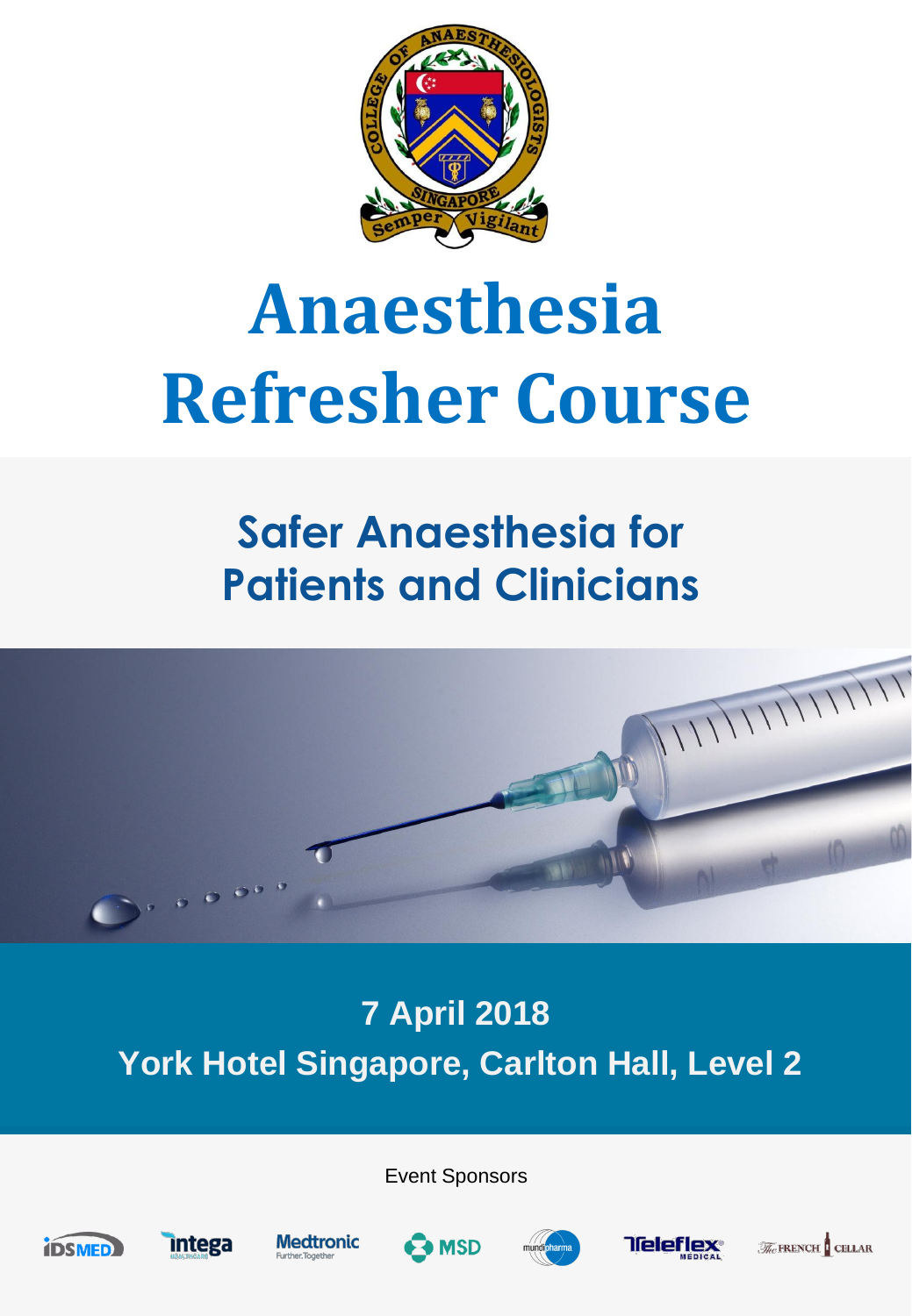

# **Anaesthesia Refresher Course**

## **Safer Anaesthesia for Patients and Clinicians**



## **7 April 2018 York Hotel Singapore, Carlton Hall, Level 2**

Event Sponsors





**Medtronic** 







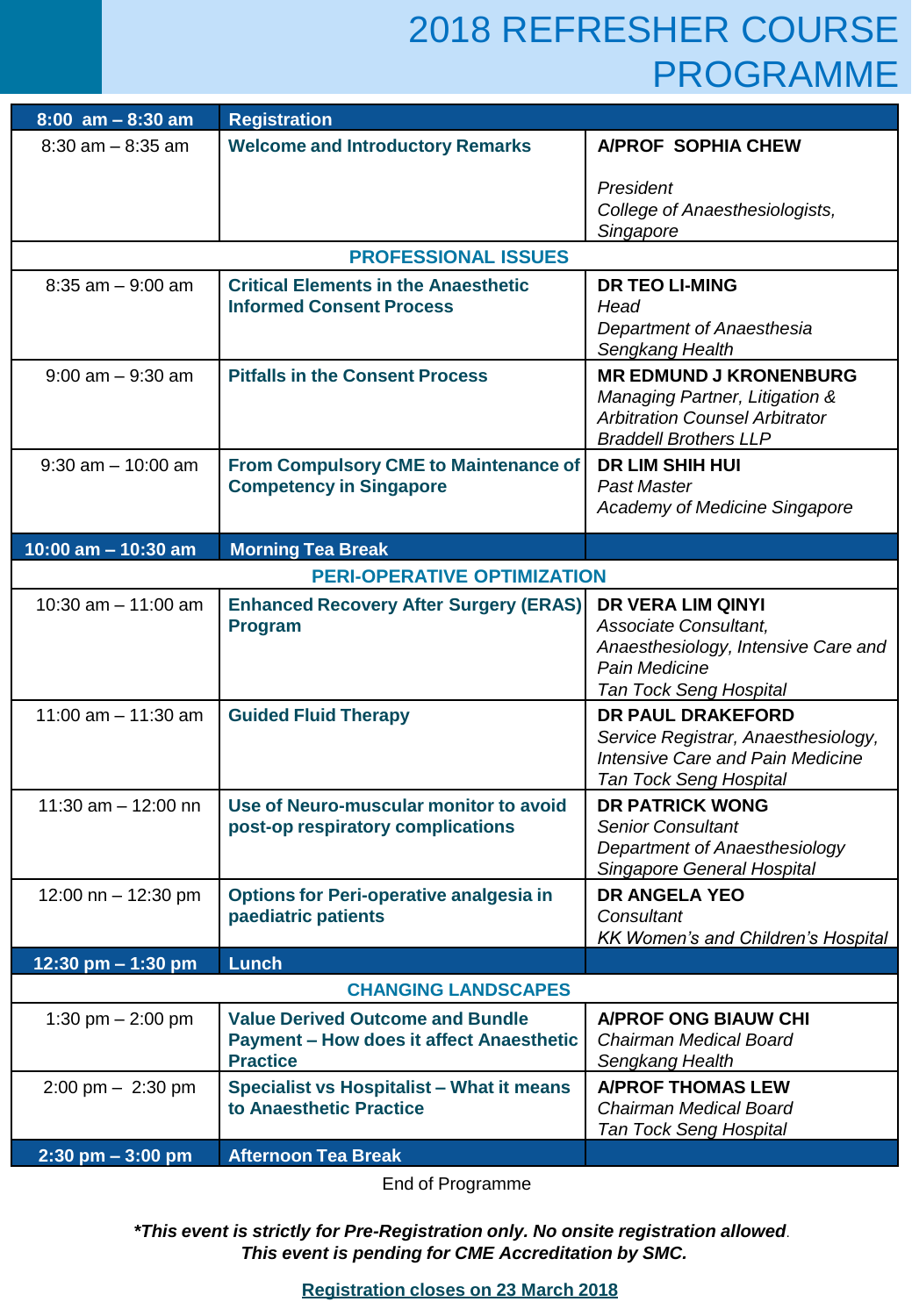## 2018 REFRESHER COURSE PROGRAMME

| $8:00$ am $-8:30$ am                | <b>Registration</b>                                                                                           |                                                                                                                                            |  |  |  |  |  |  |  |
|-------------------------------------|---------------------------------------------------------------------------------------------------------------|--------------------------------------------------------------------------------------------------------------------------------------------|--|--|--|--|--|--|--|
| $8:30$ am $-8:35$ am                | <b>Welcome and Introductory Remarks</b>                                                                       | A/PROF SOPHIA CHEW                                                                                                                         |  |  |  |  |  |  |  |
|                                     |                                                                                                               | President<br>College of Anaesthesiologists,<br>Singapore                                                                                   |  |  |  |  |  |  |  |
|                                     | <b>PROFESSIONAL ISSUES</b>                                                                                    |                                                                                                                                            |  |  |  |  |  |  |  |
| $8:35$ am $-9:00$ am                | <b>Critical Elements in the Anaesthetic</b><br><b>Informed Consent Process</b>                                | <b>DR TEO LI-MING</b><br>Head<br>Department of Anaesthesia<br>Sengkang Health                                                              |  |  |  |  |  |  |  |
| $9:00$ am $-9:30$ am                | <b>Pitfalls in the Consent Process</b>                                                                        | <b>MR EDMUND J KRONENBURG</b><br>Managing Partner, Litigation &<br><b>Arbitration Counsel Arbitrator</b><br><b>Braddell Brothers LLP</b>   |  |  |  |  |  |  |  |
| $9:30$ am $-10:00$ am               | <b>From Compulsory CME to Maintenance of</b><br><b>Competency in Singapore</b>                                | <b>DR LIM SHIH HUI</b><br>Past Master<br>Academy of Medicine Singapore                                                                     |  |  |  |  |  |  |  |
| 10:00 am $-$ 10:30 am               | <b>Morning Tea Break</b>                                                                                      |                                                                                                                                            |  |  |  |  |  |  |  |
|                                     | <b>PERI-OPERATIVE OPTIMIZATION</b>                                                                            |                                                                                                                                            |  |  |  |  |  |  |  |
| 10:30 am $-$ 11:00 am               | <b>Enhanced Recovery After Surgery (ERAS)</b><br><b>Program</b>                                               | <b>DR VERA LIM QINYI</b><br>Associate Consultant,<br>Anaesthesiology, Intensive Care and<br>Pain Medicine<br><b>Tan Tock Seng Hospital</b> |  |  |  |  |  |  |  |
| 11:00 am $-$ 11:30 am               | <b>Guided Fluid Therapy</b>                                                                                   | DR PAUL DRAKEFORD<br>Service Registrar, Anaesthesiology,<br><b>Intensive Care and Pain Medicine</b><br>Tan Tock Seng Hospital              |  |  |  |  |  |  |  |
| 11:30 am $-$ 12:00 nn               | Use of Neuro-muscular monitor to avoid<br>post-op respiratory complications                                   | <b>DR PATRICK WONG</b><br><b>Senior Consultant</b><br>Department of Anaesthesiology<br><b>Singapore General Hospital</b>                   |  |  |  |  |  |  |  |
| 12:00 nn $-$ 12:30 pm               | <b>Options for Peri-operative analgesia in</b><br>paediatric patients                                         | <b>DR ANGELA YEO</b><br>Consultant<br><b>KK Women's and Children's Hospital</b>                                                            |  |  |  |  |  |  |  |
| 12:30 pm $-$ 1:30 pm                | <b>Lunch</b>                                                                                                  |                                                                                                                                            |  |  |  |  |  |  |  |
|                                     | <b>CHANGING LANDSCAPES</b>                                                                                    |                                                                                                                                            |  |  |  |  |  |  |  |
| 1:30 pm $- 2:00$ pm                 | <b>Value Derived Outcome and Bundle</b><br><b>Payment - How does it affect Anaesthetic</b><br><b>Practice</b> | <b>A/PROF ONG BIAUW CHI</b><br>Chairman Medical Board<br>Sengkang Health                                                                   |  |  |  |  |  |  |  |
| $2:00 \text{ pm} - 2:30 \text{ pm}$ | Specialist vs Hospitalist - What it means<br>to Anaesthetic Practice                                          | <b>A/PROF THOMAS LEW</b><br>Chairman Medical Board<br><b>Tan Tock Seng Hospital</b>                                                        |  |  |  |  |  |  |  |
| $2:30$ pm $-3:00$ pm                | <b>Afternoon Tea Break</b>                                                                                    |                                                                                                                                            |  |  |  |  |  |  |  |

End of Programme

*\*This event is strictly for Pre-Registration only. No onsite registration allowed*. *This event is pending for CME Accreditation by SMC.*

**Registration closes on 23 March 2018**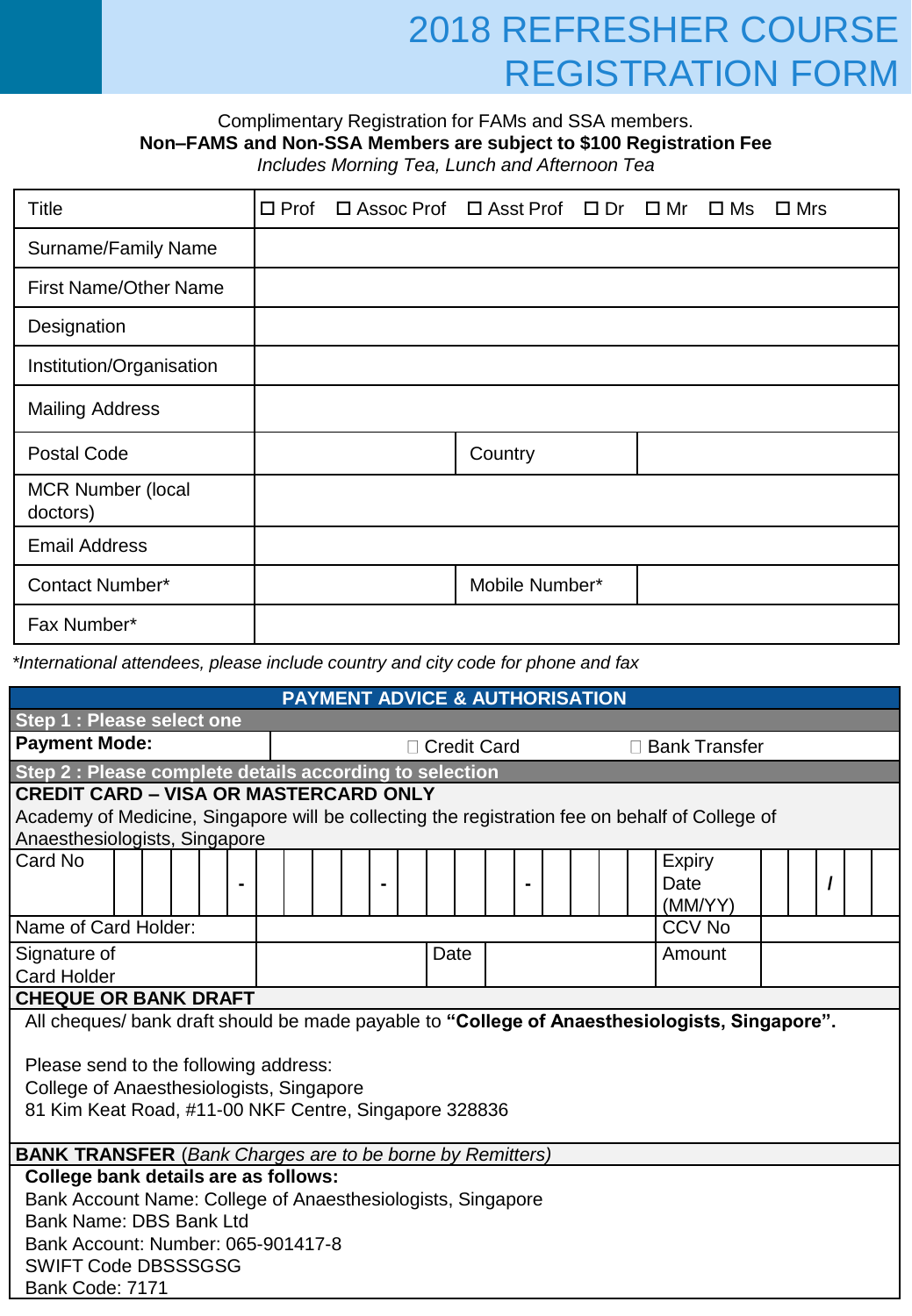## 2018 REFRESHER COURSE REGISTRATION FORM

#### Complimentary Registration for FAMs and SSA members. **Non–FAMS and Non-SSA Members are subject to \$100 Registration Fee**

*Includes Morning Tea, Lunch and Afternoon Tea* 

| <b>Title</b>                         | $\Box$ Prof | $\Box$ Assoc Prof $\Box$ Asst Prof $\Box$ Dr $\Box$ Mr $\Box$ Ms |                |  | $\square$ Mrs |
|--------------------------------------|-------------|------------------------------------------------------------------|----------------|--|---------------|
| Surname/Family Name                  |             |                                                                  |                |  |               |
| <b>First Name/Other Name</b>         |             |                                                                  |                |  |               |
| Designation                          |             |                                                                  |                |  |               |
| Institution/Organisation             |             |                                                                  |                |  |               |
| <b>Mailing Address</b>               |             |                                                                  |                |  |               |
| <b>Postal Code</b>                   |             |                                                                  | Country        |  |               |
| <b>MCR Number (local</b><br>doctors) |             |                                                                  |                |  |               |
| <b>Email Address</b>                 |             |                                                                  |                |  |               |
| Contact Number*                      |             |                                                                  | Mobile Number* |  |               |
| Fax Number*                          |             |                                                                  |                |  |               |

*\*International attendees, please include country and city code for phone and fax*

| <b>PAYMENT ADVICE &amp; AUTHORISATION</b>                                                      |                      |  |  |  |               |  |      |  |  |  |                 |         |  |  |  |
|------------------------------------------------------------------------------------------------|----------------------|--|--|--|---------------|--|------|--|--|--|-----------------|---------|--|--|--|
| Step 1 : Please select one                                                                     |                      |  |  |  |               |  |      |  |  |  |                 |         |  |  |  |
| <b>Payment Mode:</b>                                                                           |                      |  |  |  | □ Credit Card |  |      |  |  |  | □ Bank Transfer |         |  |  |  |
| Step 2 : Please complete details according to selection                                        |                      |  |  |  |               |  |      |  |  |  |                 |         |  |  |  |
| <b>CREDIT CARD - VISA OR MASTERCARD ONLY</b>                                                   |                      |  |  |  |               |  |      |  |  |  |                 |         |  |  |  |
| Academy of Medicine, Singapore will be collecting the registration fee on behalf of College of |                      |  |  |  |               |  |      |  |  |  |                 |         |  |  |  |
| Anaesthesiologists, Singapore                                                                  |                      |  |  |  |               |  |      |  |  |  |                 |         |  |  |  |
| Card No                                                                                        |                      |  |  |  |               |  |      |  |  |  |                 | Expiry  |  |  |  |
|                                                                                                |                      |  |  |  |               |  |      |  |  |  |                 | Date    |  |  |  |
|                                                                                                |                      |  |  |  |               |  |      |  |  |  |                 | (MM/YY) |  |  |  |
|                                                                                                | Name of Card Holder: |  |  |  |               |  |      |  |  |  | <b>CCV No</b>   |         |  |  |  |
| Signature of                                                                                   |                      |  |  |  |               |  | Date |  |  |  | Amount          |         |  |  |  |
| <b>Card Holder</b>                                                                             |                      |  |  |  |               |  |      |  |  |  |                 |         |  |  |  |
| <b>CHEQUE OR BANK DRAFT</b>                                                                    |                      |  |  |  |               |  |      |  |  |  |                 |         |  |  |  |
| All cheques/bank draft should be made payable to "College of Anaesthesiologists, Singapore".   |                      |  |  |  |               |  |      |  |  |  |                 |         |  |  |  |
| Please send to the following address:                                                          |                      |  |  |  |               |  |      |  |  |  |                 |         |  |  |  |
| College of Anaesthesiologists, Singapore                                                       |                      |  |  |  |               |  |      |  |  |  |                 |         |  |  |  |
| 81 Kim Keat Road, #11-00 NKF Centre, Singapore 328836                                          |                      |  |  |  |               |  |      |  |  |  |                 |         |  |  |  |
|                                                                                                |                      |  |  |  |               |  |      |  |  |  |                 |         |  |  |  |
| <b>BANK TRANSFER</b> (Bank Charges are to be borne by Remitters)                               |                      |  |  |  |               |  |      |  |  |  |                 |         |  |  |  |
| College bank details are as follows:                                                           |                      |  |  |  |               |  |      |  |  |  |                 |         |  |  |  |
| Bank Account Name: College of Anaesthesiologists, Singapore                                    |                      |  |  |  |               |  |      |  |  |  |                 |         |  |  |  |
| Bank Name: DBS Bank Ltd                                                                        |                      |  |  |  |               |  |      |  |  |  |                 |         |  |  |  |
| Bank Account: Number: 065-901417-8                                                             |                      |  |  |  |               |  |      |  |  |  |                 |         |  |  |  |
| <b>SWIFT Code DBSSSGSG</b>                                                                     |                      |  |  |  |               |  |      |  |  |  |                 |         |  |  |  |
| Bank Code: 7171                                                                                |                      |  |  |  |               |  |      |  |  |  |                 |         |  |  |  |